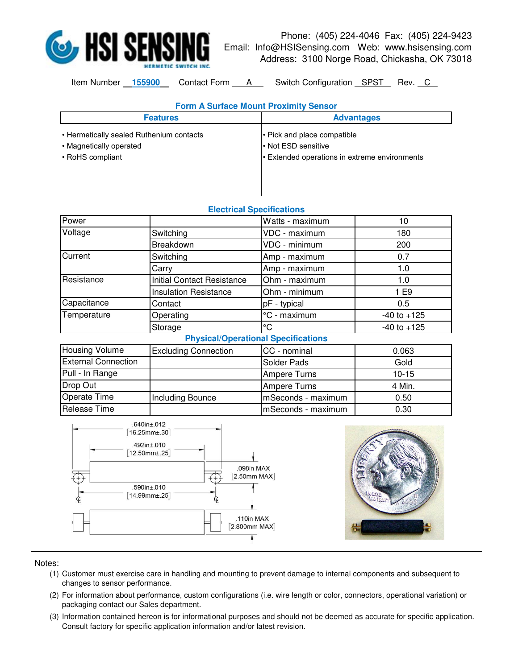

## Phone: (405) 224-4046 Fax: (405) 224-9423 Email: Info@HSISensing.com Web: www.hsisensing.com Address: 3100 Norge Road, Chickasha, OK 73018

Item Number 155900 Contact Form A Switch Configuration SPST Rev. C

| <b>Form A Surface Mount Proximity Sensor</b> |                                             |  |
|----------------------------------------------|---------------------------------------------|--|
| <b>Features</b>                              | <b>Advantages</b>                           |  |
| • Hermetically sealed Ruthenium contacts     | • Pick and place compatible                 |  |
| • Magnetically operated                      | l Not ESD sensitive                         |  |
| • RoHS compliant                             | Extended operations in extreme environments |  |
|                                              |                                             |  |
|                                              |                                             |  |

|                            | Electrical opecnications                                          |                     |                 |
|----------------------------|-------------------------------------------------------------------|---------------------|-----------------|
| Power                      |                                                                   | Watts - maximum     | 10              |
| Voltage                    | Switching                                                         | VDC - maximum       | 180             |
|                            | Breakdown                                                         | VDC - minimum       | 200             |
| Current                    | Switching                                                         | Amp - maximum       | 0.7             |
|                            | Carry                                                             | Amp - maximum       | 1.0             |
| Resistance                 | <b>Initial Contact Resistance</b>                                 | Ohm - maximum       | 1.0             |
|                            | <b>Insulation Resistance</b>                                      | Ohm - minimum       | 1 E9            |
| Capacitance                | Contact                                                           | pF - typical        | 0.5             |
| Temperature                | Operating                                                         | °C - maximum        | $-40$ to $+125$ |
|                            | Storage                                                           | $\rm ^{\circ}C$     | $-40$ to $+125$ |
|                            | <b>Physical/Operational Specifications</b>                        |                     |                 |
| Housing Volume             | <b>Excluding Connection</b>                                       | CC - nominal        | 0.063           |
| <b>External Connection</b> |                                                                   | Solder Pads         | Gold            |
| Pull - In Range            |                                                                   | <b>Ampere Turns</b> | $10 - 15$       |
| Drop Out                   |                                                                   | <b>Ampere Turns</b> | 4 Min.          |
| Operate Time               | Including Bounce                                                  | mSeconds - maximum  | 0.50            |
| Release Time               |                                                                   | mSeconds - maximum  | 0.30            |
|                            | .640in±.012<br>$16.25$ mm $\pm .30$<br>.492in±.010<br>12.50mm±.25 |                     |                 |

## **Electrical Specifications**





## Notes:

- (1) Customer must exercise care in handling and mounting to prevent damage to internal components and subsequent to changes to sensor performance.
- (2) For information about performance, custom configurations (i.e. wire length or color, connectors, operational variation) or packaging contact our Sales department.
- (3) Information contained hereon is for informational purposes and should not be deemed as accurate for specific application. Consult factory for specific application information and/or latest revision.